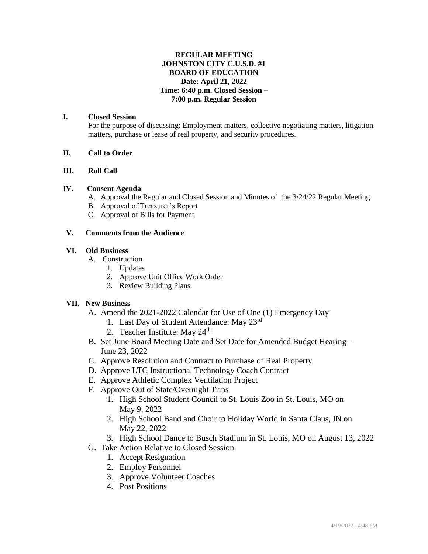## **REGULAR MEETING JOHNSTON CITY C.U.S.D. #1 BOARD OF EDUCATION Date: April 21, 2022 Time: 6:40 p.m. Closed Session – 7:00 p.m. Regular Session**

## **I. Closed Session**

For the purpose of discussing: Employment matters, collective negotiating matters, litigation matters, purchase or lease of real property, and security procedures.

## **II. Call to Order**

## **III. Roll Call**

## **IV. Consent Agenda**

- A. Approval the Regular and Closed Session and Minutes of the 3/24/22 Regular Meeting
- B. Approval of Treasurer's Report
- C. Approval of Bills for Payment

## **V. Comments from the Audience**

## **VI. Old Business**

- A. Construction
	- 1. Updates
	- 2. Approve Unit Office Work Order
	- 3. Review Building Plans

#### **VII. New Business**

- A. Amend the 2021-2022 Calendar for Use of One (1) Emergency Day
	- 1. Last Day of Student Attendance: May 23<sup>rd</sup>
	- 2. Teacher Institute: May  $24<sup>th</sup>$
- B. Set June Board Meeting Date and Set Date for Amended Budget Hearing June 23, 2022
- C. Approve Resolution and Contract to Purchase of Real Property
- D. Approve LTC Instructional Technology Coach Contract
- E. Approve Athletic Complex Ventilation Project
- F. Approve Out of State/Overnight Trips
	- 1. High School Student Council to St. Louis Zoo in St. Louis, MO on May 9, 2022
	- 2. High School Band and Choir to Holiday World in Santa Claus, IN on May 22, 2022
	- 3. High School Dance to Busch Stadium in St. Louis, MO on August 13, 2022
- G. Take Action Relative to Closed Session
	- 1. Accept Resignation
	- 2. Employ Personnel
	- 3. Approve Volunteer Coaches
	- 4. Post Positions